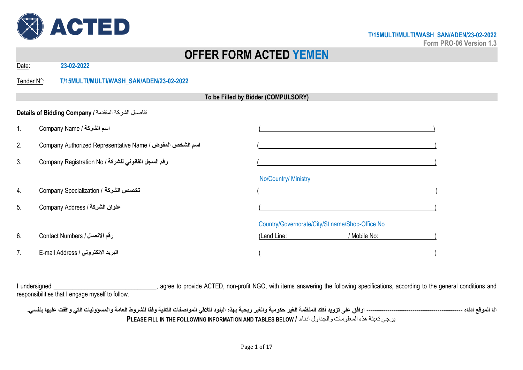

**Form PRO-06 Version 1.3**

# **OFFER FORM ACTED YEMEN**

Date: **23-02-2022**

Tender N°: **T/15MULTI/MULTI/WASH\_SAN/ADEN/23-02-2022**

|    | To be Filled by Bidder (COMPULSORY)                         |                                                 |  |  |  |
|----|-------------------------------------------------------------|-------------------------------------------------|--|--|--|
|    | تفاصيل الشركة المتقدمة / Details of Bidding Company         |                                                 |  |  |  |
| 1. | Company Name / اسم الشركة                                   |                                                 |  |  |  |
| 2. | Company Authorized Representative Name / اسم الشخص المفوض / |                                                 |  |  |  |
| 3. | رقم السجل القانوني للشركة / Company Registration No         |                                                 |  |  |  |
|    |                                                             | No/Country/ Ministry                            |  |  |  |
| 4. | تخصص الشركة / Company Specialization                        |                                                 |  |  |  |
| 5. | عنوان الشركة / Company Address                              |                                                 |  |  |  |
|    |                                                             | Country/Governorate/City/St name/Shop-Office No |  |  |  |
| 6. | رقم الاتصال / Contact Numbers                               | (Land Line:<br>/ Mobile No:                     |  |  |  |
| 7. | البريد الالكتروني / E-mail Address                          |                                                 |  |  |  |

I undersigned \_\_\_\_\_\_\_\_\_\_\_\_\_\_\_\_\_\_\_\_\_\_\_\_\_\_\_\_\_\_\_\_, agree to provide ACTED, non-profit NGO, with items answering the following specifications, according to the general conditions and responsibilities that I engage myself to follow.

**انا الموقع ادناه ---------------------------------------------- اوافق على تزويد أكتد المنظمة الغير حكومية والغير ربحية بهذه البنود لتالقي المواصفات التالية وفقا للشروط العامة والمسؤوليات التي وافقت عليها بنفسي. PLEASE FILL IN THE FOLLOWING INFORMATION AND TABLES BELOW /** .ادناه والجداول المعلومات هذه تعبئة يرجى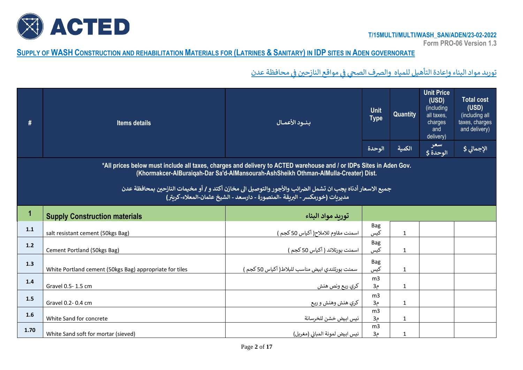

**Form PRO-06 Version 1.3**

# SUPPLY OF WASH CONSTRUCTION AND REHABILITATION MATERIALS FOR (LATRINES & SANITARY) IN IDP SITES IN ADEN GOVERNORATE

توريد مواد البناء وإعادة التأهيل للمياه والصرف الصحي في مواقع النازحين في محافظة عدن ř ֦֧֦֧֦֧֦֧֦֧֦֧֦֧֦ ř ֦֧֦֧֦֧֦֧֦֧֦֧֦֧֧֦֧֧֦֧֧֦֧֚֚֚֬֜֜֓֜֜֓֜֜֓

| #     | <b>Items details</b>                                                                                                                                                                                      | بنــود الأعمــال                                                                                          | <b>Unit</b><br><b>Type</b>       | Quantity     | Unit Price<br>(USD)<br>(including<br>all taxes,<br>charges<br>and<br>delivery) | <b>Total cost</b><br>(USD)<br>(including all<br>taxes, charges<br>and delivery) |  |  |  |
|-------|-----------------------------------------------------------------------------------------------------------------------------------------------------------------------------------------------------------|-----------------------------------------------------------------------------------------------------------|----------------------------------|--------------|--------------------------------------------------------------------------------|---------------------------------------------------------------------------------|--|--|--|
|       |                                                                                                                                                                                                           |                                                                                                           | الوحدة                           | الكمية       | سعر<br>الوحدة \$                                                               | الإجمالي \$                                                                     |  |  |  |
|       | *All prices below must include all taxes, charges and delivery to ACTED warehouse and / or IDPs Sites in Aden Gov.<br>(Khormakcer-AlBuraiqah-Dar Sa'd-AlMansourah-AshSheikh Othman-AlMulla-Creater) Dist. |                                                                                                           |                                  |              |                                                                                |                                                                                 |  |  |  |
|       |                                                                                                                                                                                                           | جميع الاسعار أدناه يجب ان تشمل الضرائب والأجور والتوصيل الى مخازن أكتد و / أو مخيمات النازحين بمحافظة عدن |                                  |              |                                                                                |                                                                                 |  |  |  |
|       |                                                                                                                                                                                                           | مديريات (خورمكسر - البريقة -المنصورة - دارسعد - الشيخ عثمان-المعلاء-كريتر)                                |                                  |              |                                                                                |                                                                                 |  |  |  |
| 1     | <b>Supply Construction materials</b>                                                                                                                                                                      | توربد مواد البناء                                                                                         |                                  |              |                                                                                |                                                                                 |  |  |  |
| 1.1   | salt resistant cement (50kgs Bag)                                                                                                                                                                         | اسمنت مقاوم للاملاح( أكياس 50 كجم )                                                                       | <b>Bag</b><br>کیس                | $\mathbf 1$  |                                                                                |                                                                                 |  |  |  |
| $1.2$ | Cement Portland (50kgs Bag)                                                                                                                                                                               | اسمنت بورتلاند ( أكياس 50 كجم )                                                                           | <b>Bag</b><br>کیس                | $\mathbf 1$  |                                                                                |                                                                                 |  |  |  |
| 1.3   | White Portland cement (50kgs Bag) appropriate for tiles                                                                                                                                                   | سمنت بورتلندي ابيض مناسب للبلاط( أكياس 50 كجم )                                                           | <b>Bag</b><br>کیس                | $\mathbf 1$  |                                                                                |                                                                                 |  |  |  |
| 1.4   | Gravel 0.5-1.5 cm                                                                                                                                                                                         | كري ريع ونص هنش                                                                                           | m <sub>3</sub><br>م3,            | $\mathbf 1$  |                                                                                |                                                                                 |  |  |  |
| 1.5   | Gravel 0.2-0.4 cm                                                                                                                                                                                         | كري هنش وهنش و ربع                                                                                        | m <sub>3</sub><br>م3,            | $\mathbf 1$  |                                                                                |                                                                                 |  |  |  |
| 1.6   | White Sand for concrete                                                                                                                                                                                   | نيس ابيض خشن للخرسانة                                                                                     | m <sub>3</sub><br>3 <sub>0</sub> | $\mathbf{1}$ |                                                                                |                                                                                 |  |  |  |
| 1.70  | White Sand soft for mortar (sieved)                                                                                                                                                                       | نيس ابيض لمونة المباني (مغربل)                                                                            | m <sub>3</sub><br>3 <sub>0</sub> | $\mathbf{1}$ |                                                                                |                                                                                 |  |  |  |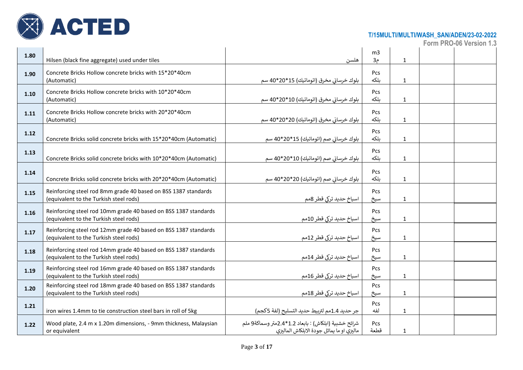

|      |                                                                                                           |                                                      |                    |              | Form PRO-06 Version 1.3 |
|------|-----------------------------------------------------------------------------------------------------------|------------------------------------------------------|--------------------|--------------|-------------------------|
| 1.80 |                                                                                                           |                                                      | m3                 |              |                         |
|      | Hilsen (black fine aggregate) used under tiles                                                            | هلسن                                                 | م3                 | $\mathbf{1}$ |                         |
| 1.90 | Concrete Bricks Hollow concrete bricks with 15*20*40cm                                                    |                                                      | Pcs                |              |                         |
|      | (Automatic)                                                                                               | بلوك خرساني مخرق (اتوماتيك) 15*20*40 سم              | ىلكە               | $\mathbf{1}$ |                         |
| 1.10 | Concrete Bricks Hollow concrete bricks with 10*20*40cm                                                    |                                                      | <b>Pcs</b>         |              |                         |
|      | (Automatic)                                                                                               | بلوك خرساني مخرق (اتوماتيك) 10*20*40 سم              | بلكه               | $\mathbf{1}$ |                         |
|      | Concrete Bricks Hollow concrete bricks with 20*20*40cm                                                    |                                                      | Pcs                |              |                         |
| 1.11 | (Automatic)                                                                                               | بلوك خرساني مخرق (اتوماتيك) 20*20*40 سم              | ىلكە               | $\mathbf{1}$ |                         |
|      |                                                                                                           |                                                      |                    |              |                         |
| 1.12 | Concrete Bricks solid concrete bricks with 15*20*40cm (Automatic)                                         | بلوك خرساني صم (اتوماتيك) 15*20*40 سم                | <b>Pcs</b><br>بلكه | $\mathbf{1}$ |                         |
|      |                                                                                                           |                                                      |                    |              |                         |
| 1.13 |                                                                                                           |                                                      | Pcs                |              |                         |
|      | Concrete Bricks solid concrete bricks with 10*20*40cm (Automatic)                                         | بلوك خرساني صم (اتوماتيك) 10*20*40 سم                | ىلكە               | $\mathbf{1}$ |                         |
| 1.14 |                                                                                                           |                                                      | Pcs                |              |                         |
|      | Concrete Bricks solid concrete bricks with 20*20*40cm (Automatic)                                         | بلوك خرساني صم (اتوماتيك) 20*20*40 سم                | بلكه               | $\mathbf{1}$ |                         |
|      | Reinforcing steel rod 8mm grade 40 based on BSS 1387 standards                                            |                                                      | Pcs                |              |                         |
| 1.15 | (equivalent to the Turkish steel rods)                                                                    | اسیاخ حدید ترکی قطر 8مم                              | سيخ                | $\mathbf 1$  |                         |
|      |                                                                                                           |                                                      |                    |              |                         |
| 1.16 | Reinforcing steel rod 10mm grade 40 based on BSS 1387 standards<br>(equivalent to the Turkish steel rods) | اسباخ حدید ترکی قطر 10مم                             | <b>Pcs</b><br>سيخ  | $\mathbf{1}$ |                         |
|      |                                                                                                           |                                                      |                    |              |                         |
| 1.17 | Reinforcing steel rod 12mm grade 40 based on BSS 1387 standards                                           | اسباخ حدید ترکی قطر 12مم                             | Pcs                |              |                         |
|      | (equivalent to the Turkish steel rods)                                                                    |                                                      | سيخ                | $\mathbf{1}$ |                         |
| 1.18 | Reinforcing steel rod 14mm grade 40 based on BSS 1387 standards                                           |                                                      | Pcs                |              |                         |
|      | (equivalent to the Turkish steel rods)                                                                    | اسباخ حدید ترکی قطر 14مم                             | سيخ                | $\mathbf{1}$ |                         |
| 1.19 | Reinforcing steel rod 16mm grade 40 based on BSS 1387 standards                                           |                                                      | <b>Pcs</b>         |              |                         |
|      | (equivalent to the Turkish steel rods)                                                                    | اسياخ حديد تركي قطر 16مم                             | سيخ                | $\mathbf{1}$ |                         |
| 1.20 | Reinforcing steel rod 18mm grade 40 based on BSS 1387 standards                                           |                                                      | Pcs                |              |                         |
|      | (equivalent to the Turkish steel rods)                                                                    | اسیاخ حدید ترکی قطر 18مم                             | سيخ                | $\mathbf{1}$ |                         |
| 1.21 |                                                                                                           |                                                      | Pcs                |              |                         |
|      | iron wires 1.4mm to tie construction steel bars in roll of 5kg                                            | جر حديد 1.4مم لتربيط حديد التسليح (لفة 5كجم)         | لفه                | $\mathbf{1}$ |                         |
| 1.22 | Wood plate, 2.4 m x 1.20m dimensions, - 9mm thickness, Malaysian                                          | شرائح خشبية (ابلكاش) : بابعاد 1.2*2.4متر وسماكة9 ملم | Pcs                |              |                         |
|      | or equivalent                                                                                             | ماليزي او ما يماثل جودة الابلكاش الماليزي            | قطعة               | $\mathbf{1}$ |                         |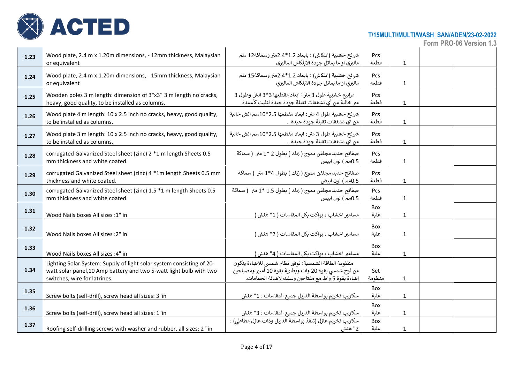

| 1.23 | Wood plate, 2.4 m x 1.20m dimensions, - 12mm thickness, Malaysian<br>or equivalent                                                                                           | شرائح خشبية (ابلكاش) : بابعاد 1.2*2.4متر وسماكة12 ملم<br>ماليزي او ما يماثل جودة الابلكاش الماليزي                                                                  | <b>Pcs</b><br>قطعة | $\mathbf 1$  |  |
|------|------------------------------------------------------------------------------------------------------------------------------------------------------------------------------|---------------------------------------------------------------------------------------------------------------------------------------------------------------------|--------------------|--------------|--|
| 1.24 | Wood plate, 2.4 m x 1.20m dimensions, - 15mm thickness, Malaysian<br>or equivalent                                                                                           | شرائح خشبية (ابلكاش) : بابعاد 1.2*2.4متر وسماكة15 ملم<br>ماليزي او ما يماثل جودة الابلكاش الماليزي                                                                  | <b>Pcs</b><br>قطعة | $\mathbf 1$  |  |
| 1.25 | Wooden poles 3 m length: dimension of 3"x3" 3 m length no cracks,<br>heavy, good quality, to be installed as columns.                                                        | مرابيع خشبية طول 3 متر : ابعاد مقطعها 3*3 انش وطول 3<br>متر خالية من أي تشققات ثقيلة جودة جيدة لتثبت كأعمدة                                                         | Pcs.<br>قطعة       | $\mathbf{1}$ |  |
| 1.26 | Wood plate 4 m length: 10 x 2.5 inch no cracks, heavy, good quality,<br>to be installed as columns.                                                                          | شرائح خشبية طول 4 متر : ابعاد مقطعها 2.5*10سم انش خالية<br>من اي تشققات ثقيلة جودة جيدة  .                                                                          | Pcs<br>قطعة        | $\mathbf{1}$ |  |
| 1.27 | Wood plate 3 m length: 10 x 2.5 inch no cracks, heavy, good quality,<br>to be installed as columns.                                                                          | شرائح خشبية طول 3 متر : ابعاد مقطعها 2.5*10سم انش خالية<br>من اي تشققات ثقيلة جودة جيدة  .                                                                          | <b>Pcs</b><br>قطعة | $\mathbf{1}$ |  |
| 1.28 | corrugated Galvanized Steel sheet (zinc) 2 *1 m length Sheets 0.5<br>mm thickness and white coated.                                                                          | صفائح حديد مجلفن مموج ( زنك ) بطول 2 *1 متر ( سماكة<br>0.5مم ) لون ابيض                                                                                             | <b>Pcs</b><br>قطعة | $\mathbf 1$  |  |
| 1.29 | corrugated Galvanized Steel sheet (zinc) 4 *1m length Sheets 0.5 mm<br>thickness and white coated.                                                                           | صفائح حديد مجلفن مموج ( زنك ) بطول 4*1 متر ( سماكة<br>0.5مم ) لون ابيض                                                                                              | Pcs<br>قطعة        | $\mathbf 1$  |  |
| 1.30 | corrugated Galvanized Steel sheet (zinc) 1.5 *1 m length Sheets 0.5<br>mm thickness and white coated.                                                                        | صفائح حديد مجلفن مموج ( زنك ) بطول 1.5 *1 متر ( سماكة<br>0.5مم ) لون ابيض                                                                                           | <b>Pcs</b><br>قطعة | $\mathbf{1}$ |  |
| 1.31 | Wood Nails boxes All sizes :1" in                                                                                                                                            | مسامير اخشاب ، بواكت بكل المقاسات ( 1" هنش )                                                                                                                        | Box<br>علىة        | $\mathbf{1}$ |  |
| 1.32 | Wood Nails boxes All sizes : 2" in                                                                                                                                           | مسامير اخشاب ، بواكت بكل المقاسات ( 2" هنش )                                                                                                                        | Box<br>علىة        | $\mathbf 1$  |  |
| 1.33 | Wood Nails boxes All sizes : 4" in                                                                                                                                           | مسامير اخشاب ، بواكت بكل المقاسات ( 4" هنش )                                                                                                                        | Box<br>علبة        | $\mathbf 1$  |  |
| 1.34 | Lighting Solar System: Supply of light solar system consisting of 20-<br>watt solar panel, 10 Amp battery and two 5-watt light bulb with two<br>switches, wire for latrines. | منظومة الطاقة الشمسية: توفير نظام شمسي للاضاءة يتكون<br>من لوح شمسي بقوة 20 وات وبطارية بقوة 10 أمبير ومصباحين<br>إضاءة بقوة 5 واط مع مفتاحين وسلك لاضائة الحمامات. | Set<br>منظومة      | $\mathbf{1}$ |  |
| 1.35 | Screw bolts (self-drill), screw head all sizes: 3"in                                                                                                                         | سكاريب تخريم بواسطة الدريل جميع المقاسات : 1" هنش                                                                                                                   | Box<br>علىة        | $\mathbf{1}$ |  |
| 1.36 | Screw bolts (self-drill), screw head all sizes: 1"in                                                                                                                         | سكاريب تخريم بواسطة الدريل جميع المقاسات : 3" هنش                                                                                                                   | Box<br>علبة        | $\mathbf 1$  |  |
| 1.37 | Roofing self-drilling screws with washer and rubber, all sizes: 2 "in                                                                                                        | سكاربب تخريم عازل (تنفذ بواسطة الدربل وذات عازل مطاطى) :<br>2" هنش                                                                                                  | Box<br>علبة        | $\mathbf{1}$ |  |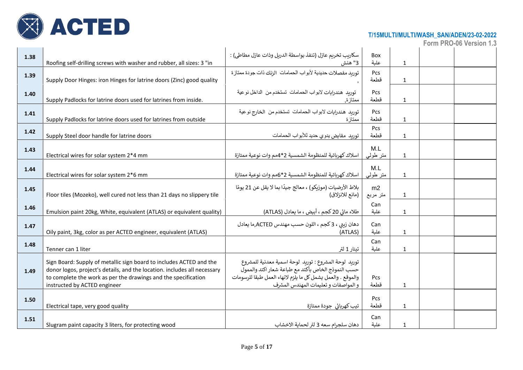

| 1.38 | Roofing self-drilling screws with washer and rubber, all sizes: 3 "in                                                                                                                                                                             | سكاريب تخريم عازل (تنفذ بواسطة الدريل وذات عازل مطاطى) :<br>3" هنش                                                                                                                                                | Box<br>علبة        | $\mathbf 1$  |  |
|------|---------------------------------------------------------------------------------------------------------------------------------------------------------------------------------------------------------------------------------------------------|-------------------------------------------------------------------------------------------------------------------------------------------------------------------------------------------------------------------|--------------------|--------------|--|
| 1.39 | Supply Door Hinges: iron Hinges for latrine doors (Zinc) good quality                                                                                                                                                                             | توربد مفصلات حديدية لأبواب الحمامات الزنك ذات جودة ممتاز ة                                                                                                                                                        | Pcs<br>قطعة        | $\mathbf{1}$ |  |
| 1.40 | Supply Padlocks for latrine doors used for latrines from inside.                                                                                                                                                                                  | توربد هندرابات لابواب الحمامات تستخدم من الداخل نوعية<br>ممتازة,                                                                                                                                                  | Pcs<br>قطعة        | $\mathbf{1}$ |  |
| 1.41 | Supply Padlocks for latrine doors used for latrines from outside                                                                                                                                                                                  | توربد هندرابات لابواب الحمامات تستخدم من الخارج نوعية<br>ممتاز ة                                                                                                                                                  | <b>Pcs</b><br>قطعة | $\mathbf{1}$ |  |
| 1.42 | Supply Steel door handle for latrine doors                                                                                                                                                                                                        | توريد مقابض يدوي حديد للأبواب الحمامات                                                                                                                                                                            | Pcs<br>قطعة        | $\mathbf{1}$ |  |
| 1.43 | Electrical wires for solar system 2*4 mm                                                                                                                                                                                                          | اسلاك كهربائية للمنظومة الشمسية 2*4مم وات نوعية ممتازة                                                                                                                                                            | M.L<br>منر طولبي   | $\mathbf 1$  |  |
| 1.44 | Electrical wires for solar system 2*6 mm                                                                                                                                                                                                          | اسلاك كهربائية للمنظومة الشمسية 2*6مم وات نوعية ممتازة                                                                                                                                                            | M.L<br>متر طولبي   | $\mathbf{1}$ |  |
| 1.45 | Floor tiles (Mozeko), well cured not less than 21 days no slippery tile                                                                                                                                                                           | بلاط الأرضيات (موزبكو) ، معالج جيدًا بما لا يقل عن 21 يومًا<br>(مانع للانزلاق)                                                                                                                                    | m2<br>متر مربع     | $\mathbf 1$  |  |
| 1.46 | Emulsion paint 20kg, White, equivalent (ATLAS) or equivalent quality)                                                                                                                                                                             | طلاء مائي 20 كجم ، أبيض ، ما يعادل (ATLAS)                                                                                                                                                                        | Can<br>علبة        | $\mathbf 1$  |  |
| 1.47 | Oily paint, 3kg, color as per ACTED engineer, equivalent (ATLAS)                                                                                                                                                                                  | دهان زبتي ، 3 كجم ، اللون حسب مهندس ACTED,ما يعادل<br>(ATLAS)                                                                                                                                                     | Can<br>علبة        | $\mathbf{1}$ |  |
| 1.48 | Tenner can 1 liter                                                                                                                                                                                                                                | تينار 1 لتر                                                                                                                                                                                                       | Can<br>علبة        | $\mathbf{1}$ |  |
| 1.49 | Sign Board: Supply of metallic sign board to includes ACTED and the<br>donor logos, project's details, and the location. includes all necessary<br>to complete the work as per the drawings and the specification<br>instructed by ACTED engineer | توريد لوحة المشروع : توريد لوحة اسمية معدنية للمشروع<br>حسب النموذج الخاص بأكتد مع طباعة شعار اكتد والممول<br>والموقع . والعمل يشمل كل ما يلزم لانهاء العمل طبقا للرسومات<br>و المواصفات و تعليمات المهندس المشرف | <b>Pcs</b><br>قطعة | $\mathbf{1}$ |  |
| 1.50 | Electrical tape, very good quality                                                                                                                                                                                                                | تيب كهربائي جودة ممتازة                                                                                                                                                                                           | Pcs<br>قطعة        | $\mathbf{1}$ |  |
| 1.51 | Slugram paint capacity 3 liters, for protecting wood                                                                                                                                                                                              | دهان سلجرام سعه 3 لتر لحماية الاخشاب                                                                                                                                                                              | Can<br>علىة        | $\mathbf{1}$ |  |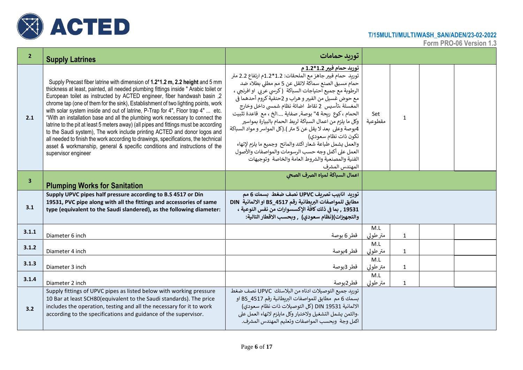

| $\overline{2}$          | <b>Supply Latrines</b>                                                                                                                                                                                                                                                                                                                                                                                                                                                                                                                                                                                                                                                                                                                                                                                                                                                    | توربد حمامات                                                                                                                                                                                                                                                                                                                                                                                                                                                                                                                                                                                                                                                                                                              |                                 |
|-------------------------|---------------------------------------------------------------------------------------------------------------------------------------------------------------------------------------------------------------------------------------------------------------------------------------------------------------------------------------------------------------------------------------------------------------------------------------------------------------------------------------------------------------------------------------------------------------------------------------------------------------------------------------------------------------------------------------------------------------------------------------------------------------------------------------------------------------------------------------------------------------------------|---------------------------------------------------------------------------------------------------------------------------------------------------------------------------------------------------------------------------------------------------------------------------------------------------------------------------------------------------------------------------------------------------------------------------------------------------------------------------------------------------------------------------------------------------------------------------------------------------------------------------------------------------------------------------------------------------------------------------|---------------------------------|
| 2.1                     | Supply Precast fiber latrine with dimension of 1.2*1.2 m, 2.2 height and 5 mm<br>thickness at least, painted, all needed plumbing fittings inside " Arabic toilet or<br>European toilet as instructed by ACTED engineer, fiber handwash basin, 2<br>chrome tap (one of them for the sink), Establishment of two lighting points, work<br>with solar system inside and out of latrine, P-Trap for 4", Floor trap 4"  etc.<br>"With an installation base and all the plumbing work necessary to connect the<br>latrine to the pit at least 5 meters away) (all pipes and fittings must be according<br>to the Saudi system), The work include printing ACTED and donor logos and<br>all needed to finish the work according to drawings, specifications, the technical<br>asset & workmanship, general & specific conditions and instructions of the<br>supervisor engineer | توربد حمام فيبر 1.2*1.2 م<br>توريد حمام فيبر جاهز مع الملحقات: 1.2*1.2م ارتفاع 2.2 متر<br>حمام مسبق الصنع سماكة لاتقل عن 5 مم مطلى بطلاء ضد<br>الرطوبة مع جميع احتياجات السباكة (كرسي عربي او افرنجي ،<br>مع حوض غسيل من الفيبر و هراب و 2حنفية كروم أحدهما في<br>المغسلة ،تأسيس 2 نقاط اضائة نظام شمسي داخل وخارج<br>الحمام ، كوع ربحة 4" بوصة, صفاية الخ ، مع قاعدة تثبيت<br>وكل ما يلزم من اعمال السباكة لربط الحمام بالبيارة بمواسير<br>4بوصة وعلى  بعد لا يقل عن 5 متر ).(كل المواسر و مواد السباكة<br>تكون ذات نظام سعودي)<br>والعمل يشمل طباعة شعار اكتد والمانح  وجميع ما يلزم لإنهاء<br>العمل على أكمل وجه حسب الرسومات والمواصفات والأصول<br>الفنية والمصنعية والشروط العامة والخاصة وتوجيهات<br>المهندس المشرف | Set<br>1<br>مقطوعية             |
| $\overline{\mathbf{3}}$ | <b>Plumping Works for Sanitation</b>                                                                                                                                                                                                                                                                                                                                                                                                                                                                                                                                                                                                                                                                                                                                                                                                                                      | اعمال السباكة لمياه الصرف الصحى                                                                                                                                                                                                                                                                                                                                                                                                                                                                                                                                                                                                                                                                                           |                                 |
| 3.1                     | Supply UPVC pipes half pressure according to B.S 4517 or Din<br>19531, PVC pipe along with all the fittings and accessories of same<br>type (equivalent to the Saudi slandered), as the following diameter:                                                                                                                                                                                                                                                                                                                                                                                                                                                                                                                                                                                                                                                               | توربد انابيب تصريف UPVC نصف ضغط بسمك 6 مم<br>مطابق للمواصفات البريطانية رقم BS_4517 او الالمانية DIN<br>19531 , بما في ذلك كافة الإكسسوارات من نفس النوعية ،<br>والتجهيزات)(نظام سعودي) ٬ وبحسب الاقطار التالية:                                                                                                                                                                                                                                                                                                                                                                                                                                                                                                          |                                 |
| 3.1.1                   | Diameter 6 inch                                                                                                                                                                                                                                                                                                                                                                                                                                                                                                                                                                                                                                                                                                                                                                                                                                                           | قطر 6 بوصة                                                                                                                                                                                                                                                                                                                                                                                                                                                                                                                                                                                                                                                                                                                | M.L<br>متر طولى<br>$\mathbf{1}$ |
| 3.1.2                   | Diameter 4 inch                                                                                                                                                                                                                                                                                                                                                                                                                                                                                                                                                                                                                                                                                                                                                                                                                                                           | قطر 4بوصة                                                                                                                                                                                                                                                                                                                                                                                                                                                                                                                                                                                                                                                                                                                 | M.L<br>متر طولى<br>$\mathbf{1}$ |
| 3.1.3                   | Diameter 3 inch                                                                                                                                                                                                                                                                                                                                                                                                                                                                                                                                                                                                                                                                                                                                                                                                                                                           | قطر 3بوصة                                                                                                                                                                                                                                                                                                                                                                                                                                                                                                                                                                                                                                                                                                                 | M.L<br>متر طولى<br>$\mathbf{1}$ |
| 3.1.4                   | Diameter 2 inch                                                                                                                                                                                                                                                                                                                                                                                                                                                                                                                                                                                                                                                                                                                                                                                                                                                           | قطر2بوصة                                                                                                                                                                                                                                                                                                                                                                                                                                                                                                                                                                                                                                                                                                                  | M.L<br>متر طولى<br>$\mathbf{1}$ |
| 3.2                     | Supply fittings of UPVC pipes as listed below with working pressure<br>10 Bar at least SCH80(equivalent to the Saudi standards). The price<br>includes the operation, testing and all the necessary for it to work<br>according to the specifications and guidance of the supervisor.                                                                                                                                                                                                                                                                                                                                                                                                                                                                                                                                                                                     | توريد جميع التوصيلات ادناه من البلاستك UPVC نصف ضغط<br>بسمك 6 مم مطابق للمواصفات البريطانية رقم BS_4517 او<br>الالمانية 19531 DIN (كل التوصيلات ذات نظام سعودي)<br>.والثمن يشمل التشغيل ولاختبار وكل مايلزم لانهاء العمل على<br>اكمل وجة وبحسب المواصفات وتعليم المهندس المشرف.                                                                                                                                                                                                                                                                                                                                                                                                                                           |                                 |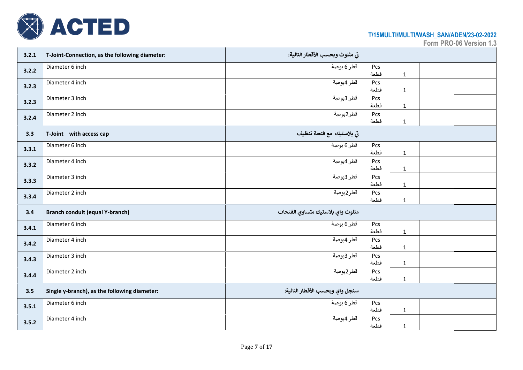

| 3.2.1 | T-Joint-Connection, as the following diameter: | تي مثلوث وبحسب الأقطار التالية:  |             |              |  |
|-------|------------------------------------------------|----------------------------------|-------------|--------------|--|
| 3.2.2 | Diameter 6 inch                                | قطر 6 بوصة                       | Pcs<br>قطعة | $\mathbf{1}$ |  |
| 3.2.3 | Diameter 4 inch                                | قطر 4بوصة                        | Pcs<br>قطعة | $\mathbf{1}$ |  |
| 3.2.3 | Diameter 3 inch                                | قطر 3بوصة                        | Pcs<br>قطعة | $\mathbf{1}$ |  |
| 3.2.4 | Diameter 2 inch                                | قطر2بوصة                         | Pcs<br>قطعة | $\mathbf{1}$ |  |
| 3.3   | T-Joint with access cap                        | تي بلاستيك  مع فتحة تنظيف        |             |              |  |
| 3.3.1 | Diameter 6 inch                                | قطر 6 بوصة                       | Pcs<br>قطعة | $\mathbf 1$  |  |
| 3.3.2 | Diameter 4 inch                                | قطر 4بوصة                        | Pcs<br>قطعة | $\mathbf{1}$ |  |
| 3.3.3 | Diameter 3 inch                                | قطر 3بوصة                        | Pcs<br>قطعة | $\mathbf{1}$ |  |
| 3.3.4 | Diameter 2 inch                                | قطر2بوصة                         | Pcs<br>قطعة | $\mathbf 1$  |  |
| 3.4   | <b>Branch conduit (equal Y-branch)</b>         | مثلوث واي بلاستيك متساوي الفتحات |             |              |  |
| 3.4.1 | Diameter 6 inch                                | قطر 6 بوصة                       | Pcs<br>قطعة | $\mathbf 1$  |  |
| 3.4.2 | Diameter 4 inch                                | قطر 4بوصة                        | Pcs<br>قطعة | $\mathbf{1}$ |  |
| 3.4.3 | Diameter 3 inch                                | قطر 3بوصة                        | Pcs<br>قطعة | $\mathbf{1}$ |  |
| 3.4.4 | Diameter 2 inch                                | قطر2بوصة                         | Pcs<br>قطعة | $\mathbf{1}$ |  |
| 3.5   | Single y-branch), as the following diameter:   | سنجل واي وبحسب الأقطار التالية:  |             |              |  |
| 3.5.1 | Diameter 6 inch                                | قطر 6 بوصة                       | Pcs<br>قطعة | $\mathbf 1$  |  |
| 3.5.2 | Diameter 4 inch                                | قطر 4بوصة                        | Pcs<br>قطعة | $\mathbf{1}$ |  |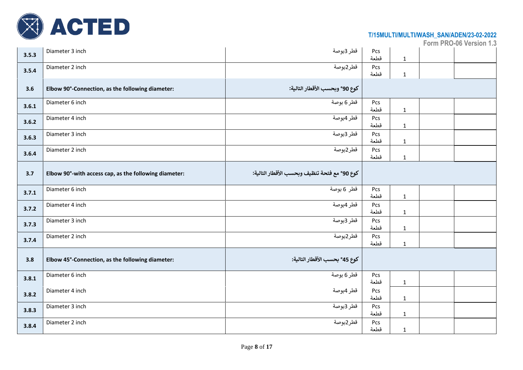

| 3.5.3 | Diameter 3 inch                                       | قطر 3بوصة                                    | Pcs<br>قطعة | $\mathbf 1$  |  |
|-------|-------------------------------------------------------|----------------------------------------------|-------------|--------------|--|
| 3.5.4 | Diameter 2 inch                                       | قطر2بوصة                                     | Pcs<br>قطعة | $\mathbf{1}$ |  |
| 3.6   | Elbow 90°-Connection, as the following diameter:      | كوع 90° وبحسب الأقطار التالية:               |             |              |  |
| 3.6.1 | Diameter 6 inch                                       | قطر 6 بوصة                                   | Pcs<br>قطعة | $\mathbf{1}$ |  |
| 3.6.2 | Diameter 4 inch                                       | قطر 4بوصة                                    | Pcs<br>قطعة | $\mathbf{1}$ |  |
| 3.6.3 | Diameter 3 inch                                       | قطر 3بوصة                                    | Pcs<br>قطعة | $\mathbf 1$  |  |
| 3.6.4 | Diameter 2 inch                                       | قطر2بوصة                                     | Pcs<br>قطعة | $\mathbf{1}$ |  |
| 3.7   | Elbow 90°-with access cap, as the following diameter: | كوع 90° مع فتحة تنظيف وبحسب الأقطار التالية: |             |              |  |
| 3.7.1 | Diameter 6 inch                                       | قطر 6 بوصة                                   | Pcs<br>قطعة | $\mathbf{1}$ |  |
| 3.7.2 | Diameter 4 inch                                       | قطر 4بوصة                                    | Pcs<br>قطعة | $\mathbf{1}$ |  |
| 3.7.3 | Diameter 3 inch                                       | قطر 3بوصة                                    | Pcs<br>قطعة | $\mathbf{1}$ |  |
| 3.7.4 | Diameter 2 inch                                       | قطر2بوصة                                     | Pcs<br>قطعة | $\mathbf{1}$ |  |
| 3.8   | Elbow 45°-Connection, as the following diameter:      | كوع 45° بحسب الأقطار التالية:                |             |              |  |
| 3.8.1 | Diameter 6 inch                                       | قطر 6 بوصة                                   | Pcs<br>قطعة | $\mathbf 1$  |  |
| 3.8.2 | Diameter 4 inch                                       | قطر 4بوصة                                    | Pcs<br>قطعة | $\mathbf{1}$ |  |
| 3.8.3 | Diameter 3 inch                                       | قطر 3بوصة                                    | Pcs<br>قطعة | $\mathbf{1}$ |  |
| 3.8.4 | Diameter 2 inch                                       | قطر2بوصة                                     | Pcs<br>قطعة | $\mathbf{1}$ |  |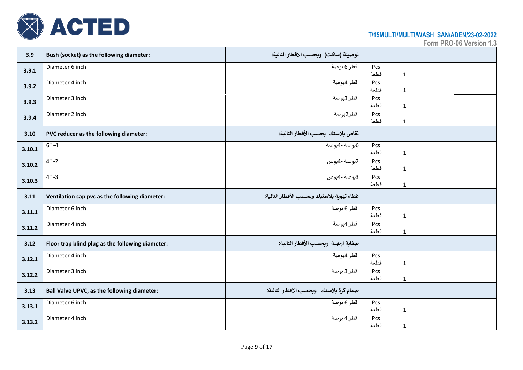

| 3.9    | Bush (socket) as the following diameter:         | توصيلة (ساكت) وبحسب الاقطار التالية:      |             |              |  |
|--------|--------------------------------------------------|-------------------------------------------|-------------|--------------|--|
| 3.9.1  | Diameter 6 inch                                  | قطر 6 بوصة                                | Pcs<br>قطعة | $\mathbf{1}$ |  |
| 3.9.2  | Diameter 4 inch                                  | قطر 4بوصة                                 | Pcs<br>قطعة | $\mathbf 1$  |  |
| 3.9.3  | Diameter 3 inch                                  | قطر 3بوصة                                 | Pcs<br>قطعة | $\mathbf{1}$ |  |
| 3.9.4  | Diameter 2 inch                                  | قطر2بوصة                                  | Pcs<br>قطعة | $\mathbf{1}$ |  |
| 3.10   | PVC reducer as the following diameter:           | نقاص بلاستك بحسب الأقطار التالية:         |             |              |  |
| 3.10.1 | $6" -4"$                                         | 6بوصة -4بوصة                              | Pcs<br>قطعة | $\mathbf 1$  |  |
| 3.10.2 | $4" - 2"$                                        | 2بوصة -4بوص                               | Pcs<br>قطعة | $\mathbf{1}$ |  |
| 3.10.3 | $4" - 3"$                                        | 3بوصة -4بوص                               | Pcs<br>قطعة | $\mathbf{1}$ |  |
|        |                                                  |                                           |             |              |  |
| 3.11   | Ventilation cap pvc as the following diameter:   | غطاء تهوىة بلاستيك وبحسب الأقطار التالية: |             |              |  |
| 3.11.1 | Diameter 6 inch                                  | قطر 6 بوصة                                | Pcs<br>قطعة | $\mathbf{1}$ |  |
| 3.11.2 | Diameter 4 inch                                  | قطر 4بوصة                                 | Pcs<br>قطعة | $\mathbf{1}$ |  |
| 3.12   | Floor trap blind plug as the following diameter: | صفاية ارضية وبحسب الأقطار التالية:        |             |              |  |
| 3.12.1 | Diameter 4 inch                                  | قطر 4بوصة                                 | Pcs<br>قطعة | $\mathbf{1}$ |  |
| 3.12.2 | Diameter 3 inch                                  | قطر 3 بوصة                                | Pcs<br>قطعة | $\mathbf 1$  |  |
| 3.13   | Ball Valve UPVC, as the following diameter:      | صمام كرة بلاستك وبحسب الاقطار التالية:    |             |              |  |
| 3.13.1 | Diameter 6 inch                                  | قطر 6 بوصة                                | Pcs<br>قطعة | $\mathbf{1}$ |  |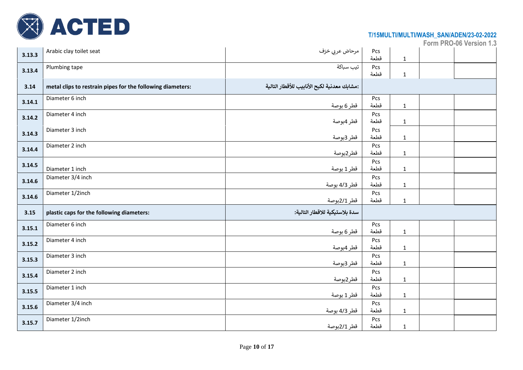

| 3.13.3 | Arabic clay toilet seat                                    | مرحاض عربي خزف                              | Pcs<br>قطعة | $\mathbf 1$  |  |
|--------|------------------------------------------------------------|---------------------------------------------|-------------|--------------|--|
| 3.13.4 | Plumbing tape                                              | تيب سباكة                                   | Pcs<br>قطعة | $\mathbf{1}$ |  |
| 3.14   | metal clips to restrain pipes for the following diameters: | :مشابك معدنية لكبح الأنابيب للأقطار التالية |             |              |  |
| 3.14.1 | Diameter 6 inch                                            | قطر 6 بوصة                                  | Pcs<br>قطعة | $\mathbf{1}$ |  |
| 3.14.2 | Diameter 4 inch                                            | قطر 4بوصة                                   | Pcs<br>قطعة | $\mathbf 1$  |  |
| 3.14.3 | Diameter 3 inch                                            | قطر 3بوصة                                   | Pcs<br>قطعة | $\mathbf 1$  |  |
| 3.14.4 | Diameter 2 inch                                            | قطر2بوصة                                    | Pcs<br>قطعة | $\mathbf{1}$ |  |
| 3.14.5 | Diameter 1 inch                                            | قطر 1 بوصة                                  | Pcs<br>قطعة | $\mathbf 1$  |  |
| 3.14.6 | Diameter 3/4 inch                                          | قطر 4/3 بوصة                                | Pcs<br>قطعة | $\mathbf 1$  |  |
| 3.14.6 | Diameter 1/2inch                                           | قطر 2/1بوصة                                 | Pcs<br>قطعة | $\mathbf 1$  |  |
| 3.15   | plastic caps for the following diameters:                  | سدة بلاستيكية للاقطار التالية:              |             |              |  |
| 3.15.1 | Diameter 6 inch                                            | قطر 6 بوصة                                  | Pcs<br>قطعة | $\mathbf{1}$ |  |
| 3.15.2 | Diameter 4 inch                                            | قطر 4بوصة                                   | Pcs<br>قطعة | $\mathbf 1$  |  |
| 3.15.3 | Diameter 3 inch                                            | قطر 3بوصة                                   | Pcs<br>قطعة | $\mathbf 1$  |  |
| 3.15.4 | Diameter 2 inch                                            | قطر2بوصة                                    | Pcs<br>قطعة | $\mathbf 1$  |  |
| 3.15.5 | Diameter 1 inch                                            | قطر 1 بوصة                                  | Pcs<br>قطعة | $\mathbf 1$  |  |
| 3.15.6 | Diameter 3/4 inch                                          | قطر 4/3 بوصة                                | Pcs<br>قطعة | $\mathbf{1}$ |  |
| 3.15.7 | Diameter 1/2inch                                           | قطر 2/1بوصة                                 | Pcs<br>قطعة | $\mathbf 1$  |  |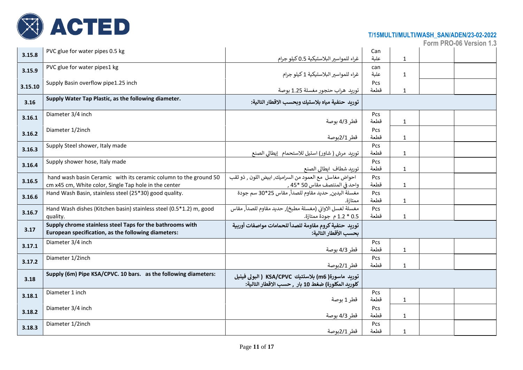

| 3.15.8  | PVC glue for water pipes 0.5 kg                                                                                           | غراء للمواسير البلاستيكية 0.5 كيلو جرام                                                                  | Can<br>علبة | $\mathbf 1$  |  |
|---------|---------------------------------------------------------------------------------------------------------------------------|----------------------------------------------------------------------------------------------------------|-------------|--------------|--|
| 3.15.9  | PVC glue for water pipes1 kg                                                                                              | غراء للمواسير البلاستيكية 1 كيلو جرام                                                                    | can<br>علبة | $\mathbf{1}$ |  |
| 3.15.10 | Supply Basin overflow pipe1.25 inch                                                                                       | توربد هراب حنجور مغسلة 1.25 بوصة                                                                         | Pcs<br>قطعة | $\mathbf{1}$ |  |
| 3.16    | Supply Water Tap Plastic, as the following diameter.                                                                      | توربد حنفية مياه بلاستيك وبحسب الاقطار التالية:                                                          |             |              |  |
| 3.16.1  | Diameter 3/4 inch                                                                                                         | قطر 4/3 بوصة                                                                                             | Pcs<br>قطعة | $\mathbf{1}$ |  |
| 3.16.2  | Diameter 1/2inch                                                                                                          | قطر 2/1بوصة                                                                                              | Pcs<br>قطعة | $\mathbf 1$  |  |
| 3.16.3  | Supply Steel shower, Italy made                                                                                           | توريد مرش ( شاور) استيل للاستحمام  إيطالي الصنع                                                          | Pcs<br>قطعة | $\mathbf{1}$ |  |
| 3.16.4  | Supply shower hose, Italy made                                                                                            | توربد شطاف ايطالى الصنع                                                                                  | Pcs<br>قطعة | $\mathbf{1}$ |  |
| 3.16.5  | hand wash basin Ceramic with its ceramic column to the ground 50<br>cm x45 cm, White color, Single Tap hole in the center | احواض مغاسل مع العمود من السراميك, ابيض اللون , ذو ثقب<br>واحد في المنتصف مقاس 50 *45 ٬                  | Pcs<br>قطعة | $\mathbf{1}$ |  |
| 3.16.6  | Hand Wash Basin, stainless steel (25*30) good quality.                                                                    | مغسلة اليدين, حديد مقاوم للصدأ, مقاس 25*30 سم جودة<br>ممتازة.                                            | Pcs<br>قطعة | $\mathbf{1}$ |  |
| 3.16.7  | Hand Wash dishes (Kitchen basin) stainless steel (0.5*1.2) m, good<br>quality.                                            | مغسلة لغسل الاواني (مغسلة مطبخ), حديد مقاوم للصدأ, مقاس<br>0.5 * 1.2 م جودة ممتازة.                      | Pcs<br>قطعة | $\mathbf{1}$ |  |
| 3.17    | Supply chrome stainless steel Taps for the bathrooms with<br>European specification, as the following diameters:          | توريد حنفية كروم مقاومة للصدأ للحمامات مواصفات أوربية<br>بحسب الأقطار التالية:                           |             |              |  |
| 3.17.1  | Diameter 3/4 inch                                                                                                         | قطر 4/3 بوصة                                                                                             | Pcs<br>قطعة | $\mathbf{1}$ |  |
| 3.17.2  | Diameter 1/2inch                                                                                                          | قطر 2/1بوصة                                                                                              | Pcs<br>قطعة | $\mathbf{1}$ |  |
| 3.18    | Supply (6m) Pipe KSA/CPVC. 10 bars. as the following diameters:                                                           | توريد ماسورة( m6) بلاستتيك KSA/CPVC ( البولى فينيل<br>كلوربد المكلورة) ضغط 10 بار ٬ حسب الاقطار التالية: |             |              |  |
| 3.18.1  | Diameter 1 inch                                                                                                           | قطر 1 بوصة                                                                                               | Pcs<br>قطعة | $\mathbf 1$  |  |
| 3.18.2  | Diameter 3/4 inch                                                                                                         | قطر 4/3 بوصة                                                                                             | Pcs<br>قطعة | $\mathbf{1}$ |  |
| 3.18.3  | Diameter 1/2inch                                                                                                          | قطر 2/1بوصة                                                                                              | Pcs<br>قطعة | $\mathbf{1}$ |  |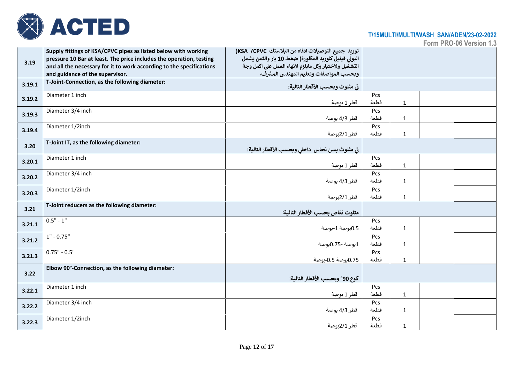

| 3.19   | Supply fittings of KSA/CPVC pipes as listed below with working<br>pressure 10 Bar at least. The price includes the operation, testing<br>and all the necessary for it to work according to the specifications | توريد جميع التوصيلات ادناه من البلاستك KSA /CPVC <br>البولي فينيل كلوربد المكلورة) ضغط 10 بار والثمن يشمل<br>التشغيل ولاختبار وكل مايلزم لانهاء العمل على اكمل وجة |                    |              |  |
|--------|---------------------------------------------------------------------------------------------------------------------------------------------------------------------------------------------------------------|--------------------------------------------------------------------------------------------------------------------------------------------------------------------|--------------------|--------------|--|
|        | and guidance of the supervisor.                                                                                                                                                                               | وبحسب المواصفات وتعليم المهندس المشرف.                                                                                                                             |                    |              |  |
| 3.19.1 | T-Joint-Connection, as the following diameter:                                                                                                                                                                | تي مثلوث وبحسب الأقطار التالية:                                                                                                                                    |                    |              |  |
| 3.19.2 | Diameter 1 inch                                                                                                                                                                                               | قطر 1 بوصة                                                                                                                                                         | Pcs<br>قطعة        | $\mathbf 1$  |  |
| 3.19.3 | Diameter 3/4 inch                                                                                                                                                                                             | قطر 4/3 بوصة                                                                                                                                                       | Pcs<br>قطعة        | $\mathbf 1$  |  |
| 3.19.4 | Diameter 1/2inch                                                                                                                                                                                              | قطر 2/1بوصة                                                                                                                                                        | Pcs<br>قطعة        | $\mathbf{1}$ |  |
| 3.20   | T-Joint IT, as the following diameter:                                                                                                                                                                        | تي مثلوث بسن نحاس  داخلي وبحسب الأقطار التالية:                                                                                                                    |                    |              |  |
| 3.20.1 | Diameter 1 inch                                                                                                                                                                                               | قطر 1 بوصة                                                                                                                                                         | Pcs<br>قطعة        | $\mathbf{1}$ |  |
| 3.20.2 | Diameter 3/4 inch                                                                                                                                                                                             | قطر 4/3 بوصة                                                                                                                                                       | Pcs<br>قطعة        | $\mathbf{1}$ |  |
| 3.20.3 | Diameter 1/2inch                                                                                                                                                                                              | قطر 2/1بوصة                                                                                                                                                        | Pcs<br>قطعة        | $\mathbf 1$  |  |
| 3.21   | T-Joint reducers as the following diameter:                                                                                                                                                                   | مثلوث نقاص بحسب الأقطار التالية:                                                                                                                                   |                    |              |  |
| 3.21.1 | $0.5" - 1"$                                                                                                                                                                                                   | 0.5بوصة 1-بوصة                                                                                                                                                     | Pcs<br>قطعة        | $\mathbf 1$  |  |
| 3.21.2 | $1" - 0.75"$                                                                                                                                                                                                  | 1بوصة -0.75بوصة                                                                                                                                                    | Pcs<br>قطعة        | $\mathbf{1}$ |  |
| 3.21.3 | $0.75" - 0.5"$                                                                                                                                                                                                | 0.75بوصة 0.5-بوصة                                                                                                                                                  | Pcs<br>قطعة        | $\mathbf{1}$ |  |
| 3.22   | Elbow 90°-Connection, as the following diameter:                                                                                                                                                              | كوع 90° وبحسب الأقطار التالية:                                                                                                                                     |                    |              |  |
| 3.22.1 | Diameter 1 inch                                                                                                                                                                                               | قطر 1 بوصة                                                                                                                                                         | Pcs<br>قطعة        | $\mathbf{1}$ |  |
| 3.22.2 | Diameter 3/4 inch                                                                                                                                                                                             | قطر 4/3 بوصة                                                                                                                                                       | <b>Pcs</b><br>قطعة | $\mathbf{1}$ |  |
| 3.22.3 | Diameter 1/2inch                                                                                                                                                                                              | قطر 2/1بوصة                                                                                                                                                        | Pcs<br>قطعة        | $\mathbf{1}$ |  |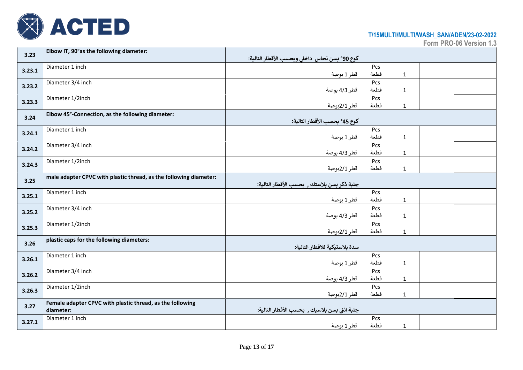

| 3.23   | Elbow IT, 90° as the following diameter:                          |                                                |      |              |  |
|--------|-------------------------------------------------------------------|------------------------------------------------|------|--------------|--|
|        |                                                                   | كوع 90° بسن نحاس  داخلي وبحسب الأقطار التالية: |      |              |  |
|        | Diameter 1 inch                                                   |                                                | Pcs  |              |  |
| 3.23.1 |                                                                   | قطر 1 بوصة                                     | قطعة | $\mathbf{1}$ |  |
|        | Diameter 3/4 inch                                                 |                                                | Pcs  |              |  |
| 3.23.2 |                                                                   | قطر 4/3 بوصة                                   | قطعة | $\mathbf 1$  |  |
|        | Diameter 1/2inch                                                  |                                                | Pcs  |              |  |
| 3.23.3 |                                                                   | قطر 2/1بوصة                                    | قطعة | $\mathbf{1}$ |  |
|        | Elbow 45°-Connection, as the following diameter:                  |                                                |      |              |  |
| 3.24   |                                                                   | كوع 45° بحسب الأقطار التالية:                  |      |              |  |
|        | Diameter 1 inch                                                   |                                                | Pcs  |              |  |
| 3.24.1 |                                                                   | قطر 1 بوصة                                     | قطعة | $\mathbf{1}$ |  |
|        | Diameter 3/4 inch                                                 |                                                | Pcs  |              |  |
| 3.24.2 |                                                                   | قطر 4/3 بوصة                                   | قطعة | $\mathbf{1}$ |  |
|        | Diameter 1/2inch                                                  |                                                | Pcs  |              |  |
| 3.24.3 |                                                                   | قطر 2/1بوصة                                    | قطعة | $\mathbf{1}$ |  |
|        | male adapter CPVC with plastic thread, as the following diameter: |                                                |      |              |  |
| 3.25   |                                                                   | جلبة ذكر بسن بلاستك , بحسب الأقطار التالية:    |      |              |  |
|        | Diameter 1 inch                                                   |                                                | Pcs  |              |  |
| 3.25.1 |                                                                   | قطر 1 بوصة                                     | قطعة | $\mathbf{1}$ |  |
|        | Diameter 3/4 inch                                                 |                                                | Pcs  |              |  |
| 3.25.2 |                                                                   | قطر 4/3 بوصة                                   | قطعة | $\mathbf 1$  |  |
|        | Diameter 1/2inch                                                  |                                                | Pcs  |              |  |
| 3.25.3 |                                                                   | قطر 2/1بوصة                                    | قطعة | $\mathbf 1$  |  |
|        | plastic caps for the following diameters:                         |                                                |      |              |  |
| 3.26   |                                                                   | سدة بلاستيكية للاقطار التالية:                 |      |              |  |
|        | Diameter 1 inch                                                   |                                                | Pcs  |              |  |
| 3.26.1 |                                                                   | قطر 1 بوصة                                     | قطعة | $\mathbf{1}$ |  |
|        | Diameter 3/4 inch                                                 |                                                | Pcs  |              |  |
| 3.26.2 |                                                                   | قطر 4/3 بوصة                                   | قطعة | $\mathbf 1$  |  |
|        | Diameter 1/2inch                                                  |                                                | Pcs  |              |  |
| 3.26.3 |                                                                   | قطر 2/1بوصة                                    | قطعة | $\mathbf{1}$ |  |
|        | Female adapter CPVC with plastic thread, as the following         |                                                |      |              |  |
| 3.27   | diameter:                                                         | جلبة انثى بسن بلاسيك ٬ بحسب الأقطار التالية:   |      |              |  |
|        | Diameter 1 inch                                                   |                                                | Pcs  |              |  |
| 3.27.1 |                                                                   | قطر 1 بوصة                                     | قطعة | $\mathbf{1}$ |  |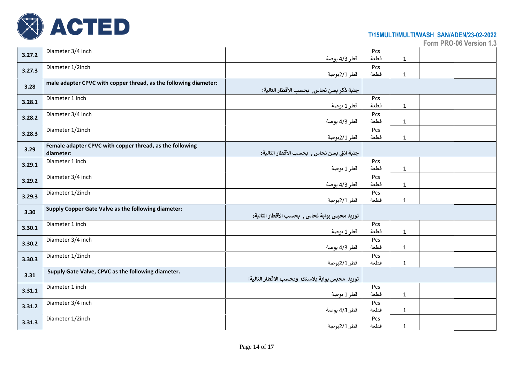

| 3.27.2 | Diameter 3/4 inch                                                     | قطر 4/3 بوصة                                   | Pcs<br>قطعة | $\mathbf{1}$ |  |
|--------|-----------------------------------------------------------------------|------------------------------------------------|-------------|--------------|--|
| 3.27.3 | Diameter 1/2inch                                                      | قطر 2/1بوصة                                    | Pcs<br>قطعة | $\mathbf{1}$ |  |
| 3.28   | male adapter CPVC with copper thread, as the following diameter:      | جلبة ذكر بسن نحاس,  بحسب الأقطار التالية:      |             |              |  |
| 3.28.1 | Diameter 1 inch                                                       | قطر 1 بوصة                                     | Pcs<br>قطعة | $\mathbf 1$  |  |
| 3.28.2 | Diameter 3/4 inch                                                     | قطر 4/3 بوصة                                   | Pcs<br>قطعة | $\mathbf{1}$ |  |
| 3.28.3 | Diameter 1/2inch                                                      | قطر 2/1بوصة                                    | Pcs<br>قطعة | $\mathbf 1$  |  |
| 3.29   | Female adapter CPVC with copper thread, as the following<br>diameter: | جلبة انثى بسن نحاس ٬ بحسب الأقطار التالية:     |             |              |  |
| 3.29.1 | Diameter 1 inch                                                       | قطر 1 بوصة                                     | Pcs<br>قطعة | $\mathbf{1}$ |  |
| 3.29.2 | Diameter 3/4 inch                                                     | قطر 4/3 بوصة                                   | Pcs<br>قطعة | $\mathbf 1$  |  |
| 3.29.3 | Diameter 1/2inch                                                      | قطر 2/1بوصة                                    | Pcs<br>قطعة | $\mathbf 1$  |  |
| 3.30   | Supply Copper Gate Valve as the following diameter:                   | توريد محبس بوابة نحاس , بحسب الأقطار التالية:  |             |              |  |
| 3.30.1 | Diameter 1 inch                                                       | قطر 1 بوصة                                     | Pcs<br>قطعة | $\mathbf 1$  |  |
| 3.30.2 | Diameter 3/4 inch                                                     | قطر 4/3 بوصة                                   | Pcs<br>قطعة | $\mathbf 1$  |  |
| 3.30.3 | Diameter 1/2inch                                                      | قطر 2/1بوصة                                    | Pcs<br>قطعة | $\mathbf 1$  |  |
| 3.31   | Supply Gate Valve, CPVC as the following diameter.                    | توريد محبس بوابة بلاستك وبحسب الاقطار التالية: |             |              |  |
| 3.31.1 | Diameter 1 inch                                                       | قطر 1 بوصة                                     | Pcs<br>قطعة | $\mathbf 1$  |  |
| 3.31.2 | Diameter 3/4 inch                                                     | قطر 4/3 بوصة                                   | Pcs<br>قطعة | $\mathbf 1$  |  |
| 3.31.3 | Diameter 1/2inch                                                      | قطر 2/1بوصة                                    | Pcs<br>قطعة | $\mathbf{1}$ |  |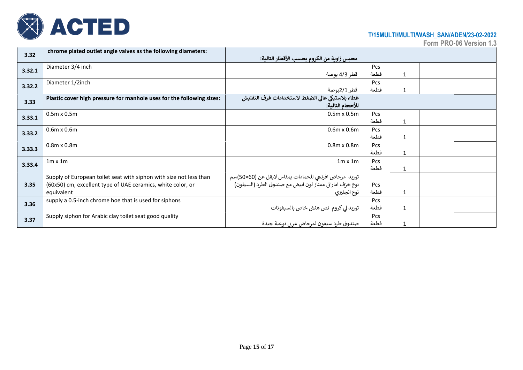

| chrome plated outlet angle valves as the following diameters:      |                                                                                                                                                                                                                                                                              |                                                                                                                                                                                                                                                                         |              |  |
|--------------------------------------------------------------------|------------------------------------------------------------------------------------------------------------------------------------------------------------------------------------------------------------------------------------------------------------------------------|-------------------------------------------------------------------------------------------------------------------------------------------------------------------------------------------------------------------------------------------------------------------------|--------------|--|
|                                                                    |                                                                                                                                                                                                                                                                              |                                                                                                                                                                                                                                                                         |              |  |
|                                                                    |                                                                                                                                                                                                                                                                              | Pcs                                                                                                                                                                                                                                                                     |              |  |
|                                                                    | قطر 4/3 بوصة                                                                                                                                                                                                                                                                 | قطعة                                                                                                                                                                                                                                                                    | 1            |  |
| Diameter 1/2inch                                                   |                                                                                                                                                                                                                                                                              | Pcs                                                                                                                                                                                                                                                                     |              |  |
|                                                                    | قطر 2/1بوصة                                                                                                                                                                                                                                                                  | قطعة                                                                                                                                                                                                                                                                    | 1            |  |
|                                                                    |                                                                                                                                                                                                                                                                              |                                                                                                                                                                                                                                                                         |              |  |
|                                                                    | للأحجام التالية:                                                                                                                                                                                                                                                             |                                                                                                                                                                                                                                                                         |              |  |
| $0.5m \times 0.5m$                                                 | $0.5m \times 0.5m$                                                                                                                                                                                                                                                           | Pcs                                                                                                                                                                                                                                                                     |              |  |
|                                                                    |                                                                                                                                                                                                                                                                              | قطعة                                                                                                                                                                                                                                                                    | 1            |  |
| $0.6m \times 0.6m$                                                 | $0.6m \times 0.6m$                                                                                                                                                                                                                                                           | Pcs                                                                                                                                                                                                                                                                     |              |  |
|                                                                    |                                                                                                                                                                                                                                                                              | قطعة                                                                                                                                                                                                                                                                    | 1            |  |
| $0.8m \times 0.8m$                                                 | $0.8m \times 0.8m$                                                                                                                                                                                                                                                           | Pcs                                                                                                                                                                                                                                                                     |              |  |
|                                                                    |                                                                                                                                                                                                                                                                              | قطعة                                                                                                                                                                                                                                                                    | 1            |  |
| $1m \times 1m$                                                     | $1m \times 1m$                                                                                                                                                                                                                                                               | Pcs                                                                                                                                                                                                                                                                     |              |  |
|                                                                    |                                                                                                                                                                                                                                                                              | قطعة                                                                                                                                                                                                                                                                    | $\mathbf{1}$ |  |
| Supply of European toilet seat with siphon with size not less than |                                                                                                                                                                                                                                                                              |                                                                                                                                                                                                                                                                         |              |  |
|                                                                    |                                                                                                                                                                                                                                                                              | Pcs                                                                                                                                                                                                                                                                     |              |  |
| equivalent                                                         |                                                                                                                                                                                                                                                                              | قطعة                                                                                                                                                                                                                                                                    | 1            |  |
|                                                                    |                                                                                                                                                                                                                                                                              | Pcs                                                                                                                                                                                                                                                                     |              |  |
|                                                                    |                                                                                                                                                                                                                                                                              | قطعة                                                                                                                                                                                                                                                                    | 1            |  |
|                                                                    |                                                                                                                                                                                                                                                                              | Pcs                                                                                                                                                                                                                                                                     |              |  |
|                                                                    | صندوق طرد سيفون لمرحاض عر بي نوعية جيدة                                                                                                                                                                                                                                      | قطعة                                                                                                                                                                                                                                                                    | 1            |  |
|                                                                    | Diameter 3/4 inch<br>Plastic cover high pressure for manhole uses for the following sizes:<br>(60x50) cm, excellent type of UAE ceramics, white color, or<br>supply a 0.5-inch chrome hoe that is used for siphons<br>Supply siphon for Arabic clay toilet seat good quality | محبس زاوية من الكروم بحسب الأقطار التالية:<br>غطاء بلاستيكي عالى الضغط لاستخدامات غرف التفتيش<br>توريد مرحاض افرنجي للحمامات بمقاس لايقل عن (50×50)سم<br>نوع خزف اماراتي ممتاز لون ابيض مع صندوق الطرد (السيفون)<br>نوع انجليزي<br>توريد لي كروم  نص هنش خاص بالسيفونات |              |  |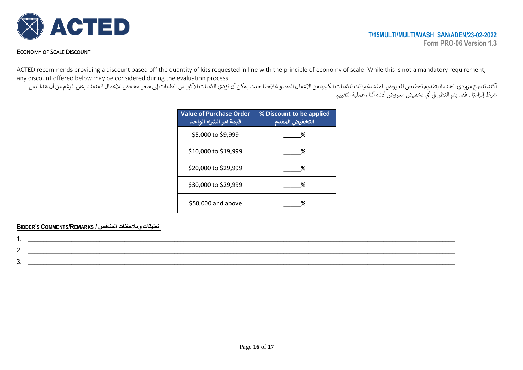

#### ECONOMY OF SCALE DISCOUNT

ACTED recommends providing a discount based off the quantity of kits requested in line with the principle of economy of scale. While this is not a mandatory requirement, any discount offered below may be considered during the evaluation process.

أكتد تنصح مزودي الخدمة بتقديم تخفيض للعروض المقدمة وذلك للكميات الكبيره من الحميات الأكبر من الطلبات إلى سعر مخفض للاعمال المنفذه ,على الرغم من أن هذا ليس س – ي صحيح التقييم النظر في أي تخفيض معروض أدناه أثناء عملية التقييم .<br>شرطًا إلزاميًا ، فقد يتم النظر في أي تخفيض معروض أدناه أثناء عملية التقييم  $\frac{1}{2}$ ֦֧֦֧֦֧֦֧֦֧֦֧֦֧֦֧֦֧֦֧֦֧֦֧֦֧֦֧ׅ֦֛֜֜֜֜֜֜֞֜֜֜֞֜֡֜

| <b>Value of Purchase Order</b><br>قيمة امر الشراء الواحد | % Discount to be applied<br>التخفيض المقدم |
|----------------------------------------------------------|--------------------------------------------|
| \$5,000 to \$9,999                                       | ℅                                          |
| \$10,000 to \$19,999                                     | ℅                                          |
| \$20,000 to \$29,999                                     | ℅                                          |
| \$30,000 to \$29,999                                     | ℅                                          |
| \$50,000 and above                                       | ℅                                          |

#### **BIDDER'S COMMENTS/REMARKS / المناقص ومالحظات تعليقات**

| ູບ. |  |
|-----|--|